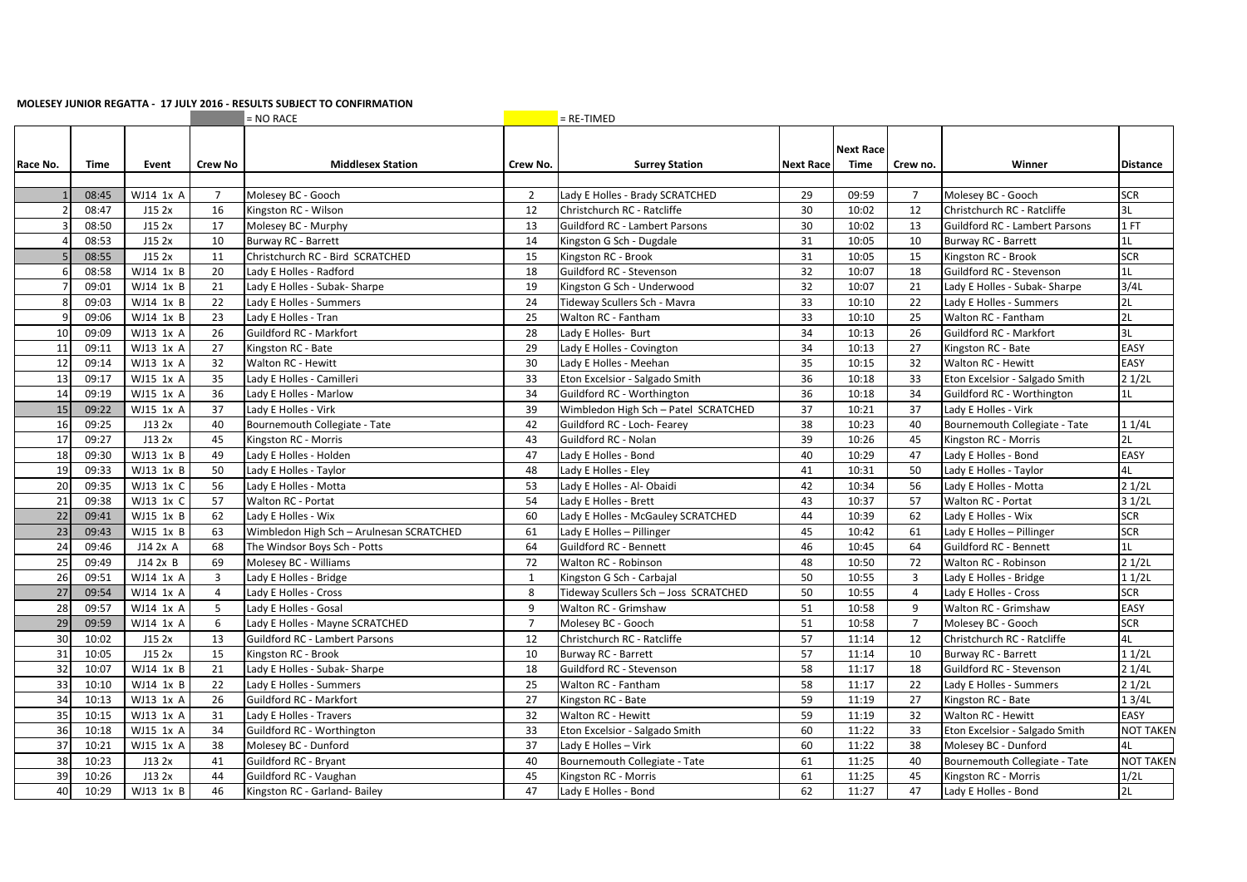## **MOLESEY JUNIOR REGATTA - 17 JULY 2016 - RESULTS SUBJECT TO CONFIRMATION**

|                 |       |            |                | $= NO RACE$                              |                | $=$ RE-TIMED                          |                  |                          |                |                                       |                  |
|-----------------|-------|------------|----------------|------------------------------------------|----------------|---------------------------------------|------------------|--------------------------|----------------|---------------------------------------|------------------|
| Race No.        | Time  | Event      | <b>Crew No</b> | <b>Middlesex Station</b>                 | Crew No.       | <b>Surrey Station</b>                 | <b>Next Race</b> | <b>Next Race</b><br>Time | Crew no.       | Winner                                | <b>Distance</b>  |
|                 |       |            |                |                                          |                |                                       |                  |                          |                |                                       |                  |
|                 | 08:45 | WJ14 1x A  | $\overline{7}$ | Molesey BC - Gooch                       | 2              | Lady E Holles - Brady SCRATCHED       | 29               | 09:59                    | $\overline{7}$ | Molesey BC - Gooch                    | <b>SCR</b>       |
| $\overline{2}$  | 08:47 | J15 2x     | 16             | Kingston RC - Wilson                     | 12             | Christchurch RC - Ratcliffe           | 30               | 10:02                    | 12             | Christchurch RC - Ratcliffe           | 3L               |
| $\overline{3}$  | 08:50 | J15 2x     | 17             | Molesey BC - Murphy                      | 13             | <b>Guildford RC - Lambert Parsons</b> | 30               | 10:02                    | 13             | <b>Guildford RC - Lambert Parsons</b> | 1FT              |
| $\overline{4}$  | 08:53 | J152x      | 10             | Burway RC - Barrett                      | 14             | Kingston G Sch - Dugdale              | 31               | 10:05                    | 10             | Burway RC - Barrett                   | 1L               |
| 5 <sub>1</sub>  | 08:55 | J15 2x     | 11             | Christchurch RC - Bird SCRATCHED         | 15             | Kingston RC - Brook                   | 31               | 10:05                    | 15             | Kingston RC - Brook                   | <b>SCR</b>       |
| 6               | 08:58 | WJ14 1x B  | 20             | Lady E Holles - Radford                  | 18             | Guildford RC - Stevenson              | 32               | 10:07                    | 18             | Guildford RC - Stevenson              | 1L               |
| $\overline{7}$  | 09:01 | WJ14 1x B  | 21             | Lady E Holles - Subak- Sharpe            | 19             | Kingston G Sch - Underwood            | 32               | 10:07                    | 21             | Lady E Holles - Subak- Sharpe         | 3/4L             |
| 8               | 09:03 | WJ14 1x B  | 22             | Lady E Holles - Summers                  | 24             | Tideway Scullers Sch - Mavra          | 33               | 10:10                    | 22             | Lady E Holles - Summers               | 2L               |
| 9               | 09:06 | WJ14 1x B  | 23             | Lady E Holles - Tran                     | 25             | Walton RC - Fantham                   | 33               | 10:10                    | 25             | Walton RC - Fantham                   | 2L               |
| 10 <sup>1</sup> | 09:09 | WJ13 1x A  | 26             | Guildford RC - Markfort                  | 28             | Lady E Holles- Burt                   | 34               | 10:13                    | 26             | Guildford RC - Markfort               | 3L               |
| 11              | 09:11 | WJ13 1x A  | 27             | Kingston RC - Bate                       | 29             | Lady E Holles - Covington             | 34               | 10:13                    | 27             | Kingston RC - Bate                    | EASY             |
| 12              | 09:14 | WJ13 1x A  | 32             | <b>Walton RC - Hewitt</b>                | 30             | Lady E Holles - Meehan                | 35               | 10:15                    | 32             | Walton RC - Hewitt                    | EASY             |
| 13              | 09:17 | WJ15 1x A  | 35             | Lady E Holles - Camilleri                | 33             | Eton Excelsior - Salgado Smith        | 36               | 10:18                    | 33             | Eton Excelsior - Salgado Smith        | 21/2L            |
| 14              | 09:19 | WJ15 1x A  | 36             | Lady E Holles - Marlow                   | 34             | Guildford RC - Worthington            | 36               | 10:18                    | 34             | Guildford RC - Worthington            | 1 <sub>L</sub>   |
| 15              | 09:22 | WJ15 1x A  | 37             | Lady E Holles - Virk                     | 39             | Wimbledon High Sch - Patel SCRATCHED  | 37               | 10:21                    | 37             | Lady E Holles - Virk                  |                  |
| 16              | 09:25 | J132x      | 40             | Bournemouth Collegiate - Tate            | 42             | Guildford RC - Loch- Fearey           | 38               | 10:23                    | 40             | Bournemouth Collegiate - Tate         | 11/4L            |
| 17              | 09:27 | J13 2x     | 45             | Kingston RC - Morris                     | 43             | Guildford RC - Nolan                  | 39               | 10:26                    | 45             | Kingston RC - Morris                  | 2L               |
| 18              | 09:30 | WJ13 1x B  | 49             | Lady E Holles - Holden                   | 47             | Lady E Holles - Bond                  | 40               | 10:29                    | 47             | Lady E Holles - Bond                  | EASY             |
| 19              | 09:33 | WJ13 1x B  | 50             | Lady E Holles - Taylor                   | 48             | Lady E Holles - Eley                  | 41               | 10:31                    | 50             | Lady E Holles - Taylor                | 4L               |
| 20              | 09:35 | WJ13 1x C  | 56             | Lady E Holles - Motta                    | 53             | Lady E Holles - Al- Obaidi            | 42               | 10:34                    | 56             | Lady E Holles - Motta                 | 21/2L            |
| 21              | 09:38 | WJ13 1x C  | 57             | Walton RC - Portat                       | 54             | Lady E Holles - Brett                 | 43               | 10:37                    | 57             | Walton RC - Portat                    | 31/2L            |
| 22              | 09:41 | WJ15 1x B  | 62             | Lady E Holles - Wix                      | 60             | Lady E Holles - McGauley SCRATCHED    | 44               | 10:39                    | 62             | Lady E Holles - Wix                   | <b>SCR</b>       |
| 23              | 09:43 | WJ15 1x B  | 63             | Wimbledon High Sch - Arulnesan SCRATCHED | 61             | Lady E Holles - Pillinger             | 45               | 10:42                    | 61             | Lady E Holles - Pillinger             | <b>SCR</b>       |
| 24              | 09:46 | $J14$ 2x A | 68             | The Windsor Boys Sch - Potts             | 64             | Guildford RC - Bennett                | 46               | 10:45                    | 64             | Guildford RC - Bennett                | 1L               |
| 25              | 09:49 | J142xB     | 69             | Molesey BC - Williams                    | 72             | Walton RC - Robinson                  | 48               | 10:50                    | 72             | Walton RC - Robinson                  | 21/2L            |
| 26              | 09:51 | WJ14 1x A  | $\overline{3}$ | Lady E Holles - Bridge                   | 1              | Kingston G Sch - Carbajal             | 50               | 10:55                    | $\overline{3}$ | Lady E Holles - Bridge                | 11/2L            |
| 27              | 09:54 | WJ14 1x A  | $\overline{4}$ | Lady E Holles - Cross                    | 8              | Tideway Scullers Sch - Joss SCRATCHED | 50               | 10:55                    | $\overline{4}$ | Lady E Holles - Cross                 | <b>SCR</b>       |
| 28              | 09:57 | WJ14 1x A  | 5              | Lady E Holles - Gosal                    | 9              | Walton RC - Grimshaw                  | 51               | 10:58                    | 9              | Walton RC - Grimshaw                  | EASY             |
| 29              | 09:59 | WJ14 1x A  | 6              | Lady E Holles - Mayne SCRATCHED          | $\overline{7}$ | Molesey BC - Gooch                    | 51               | 10:58                    | $\overline{7}$ | Molesey BC - Gooch                    | <b>SCR</b>       |
| 30              | 10:02 | J152x      | 13             | Guildford RC - Lambert Parsons           | 12             | Christchurch RC - Ratcliffe           | 57               | 11:14                    | 12             | Christchurch RC - Ratcliffe           | 4L               |
| 31              | 10:05 | J152x      | 15             | Kingston RC - Brook                      | 10             | Burway RC - Barrett                   | 57               | 11:14                    | 10             | Burway RC - Barrett                   | 11/2L            |
| 32              | 10:07 | WJ14 1x B  | 21             | Lady E Holles - Subak- Sharpe            | 18             | Guildford RC - Stevenson              | 58               | 11:17                    | 18             | Guildford RC - Stevenson              | 21/4L            |
| 33              | 10:10 | WJ14 1x B  | 22             | Lady E Holles - Summers                  | 25             | Walton RC - Fantham                   | 58               | 11:17                    | 22             | Lady E Holles - Summers               | 21/2L            |
| 34              | 10:13 | WJ13 1x A  | 26             | Guildford RC - Markfort                  | 27             | Kingston RC - Bate                    | 59               | 11:19                    | 27             | Kingston RC - Bate                    | 13/4L            |
| 35              | 10:15 | WJ13 1x A  | 31             | Lady E Holles - Travers                  | 32             | Walton RC - Hewitt                    | 59               | 11:19                    | 32             | Walton RC - Hewitt                    | EASY             |
| 36              | 10:18 | WJ15 1x A  | 34             | Guildford RC - Worthington               | 33             | Eton Excelsior - Salgado Smith        | 60               | 11:22                    | 33             | Eton Excelsior - Salgado Smith        | <b>NOT TAKEN</b> |
| 37              | 10:21 | WJ15 1x A  | 38             | Molesey BC - Dunford                     | 37             | Lady E Holles - Virk                  | 60               | 11:22                    | 38             | Molesey BC - Dunford                  | 4L               |
| 38              | 10:23 | J13 2x     | 41             | Guildford RC - Bryant                    | 40             | Bournemouth Collegiate - Tate         | 61               | 11:25                    | 40             | Bournemouth Collegiate - Tate         | <b>NOT TAKEN</b> |
| 39              | 10:26 | J13 2x     | 44             | Guildford RC - Vaughan                   | 45             | Kingston RC - Morris                  | 61               | 11:25                    | 45             | Kingston RC - Morris                  | 1/2L             |
| 40              | 10:29 | WJ13 1x B  | 46             | Kingston RC - Garland- Bailey            | 47             | Lady E Holles - Bond                  | 62               | 11:27                    | 47             | Lady E Holles - Bond                  | 2L               |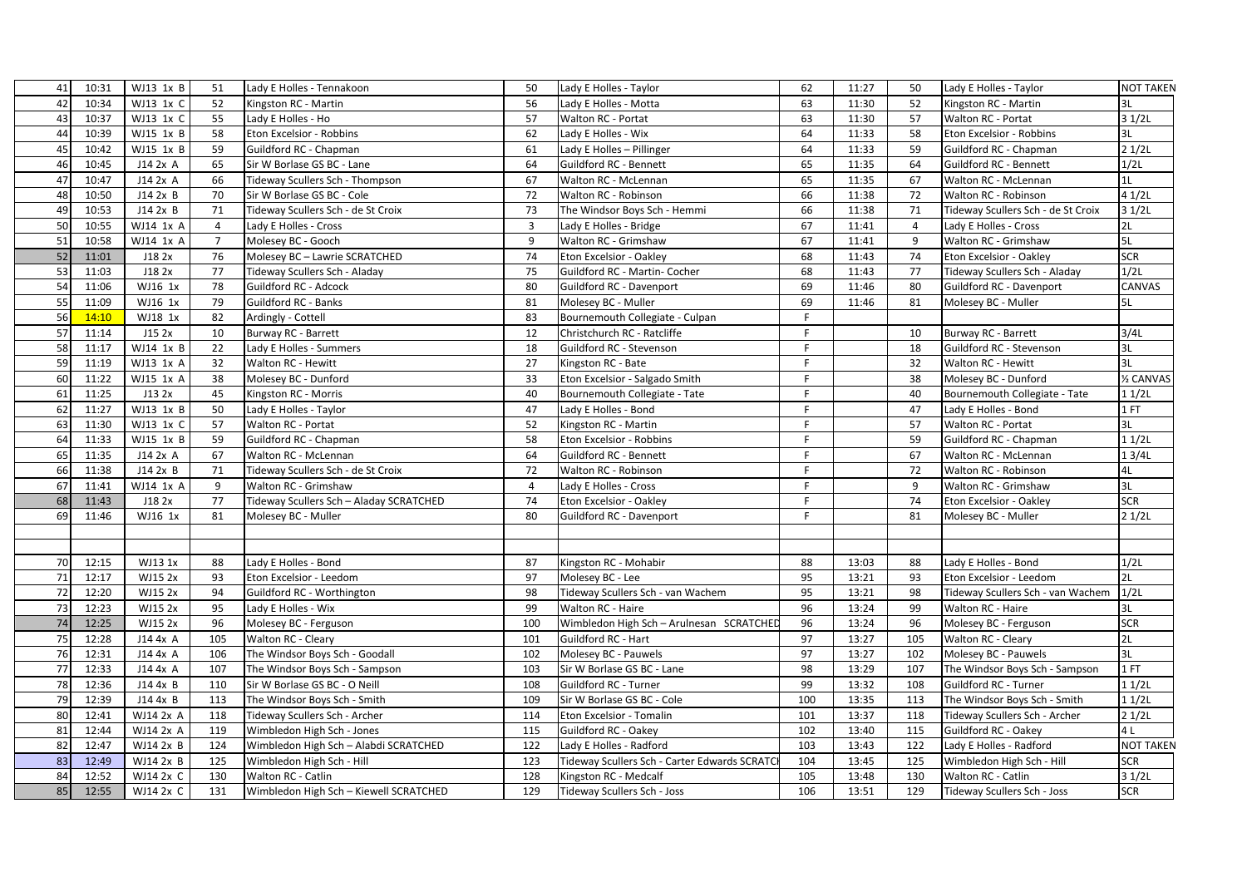| 41 | 10:31 | WJ13 1x B      | 51             | Lady E Holles - Tennakoon               | 50             | Lady E Holles - Taylor                       | 62  | 11:27 | 50  | Lady E Holles - Taylor             | <b>NOT TAKEN</b> |
|----|-------|----------------|----------------|-----------------------------------------|----------------|----------------------------------------------|-----|-------|-----|------------------------------------|------------------|
| 42 | 10:34 | WJ13 1x C      | 52             | Kingston RC - Martin                    | 56             | Lady E Holles - Motta                        | 63  | 11:30 | 52  | Kingston RC - Martin               | 3L               |
| 43 | 10:37 | WJ13 1x C      | 55             | Lady E Holles - Ho                      | 57             | Walton RC - Portat                           | 63  | 11:30 | 57  | Walton RC - Portat                 | 31/2L            |
| 44 | 10:39 | WJ15 1x B      | 58             | Eton Excelsior - Robbins                | 62             | Lady E Holles - Wix                          | 64  | 11:33 | 58  | Eton Excelsior - Robbins           | 3L               |
| 45 | 10:42 | WJ15 1x B      | 59             | Guildford RC - Chapman                  | 61             | Lady E Holles - Pillinger                    | 64  | 11:33 | 59  | Guildford RC - Chapman             | 21/2L            |
| 46 | 10:45 | J14 2x A       | 65             | Sir W Borlase GS BC - Lane              | 64             | Guildford RC - Bennett                       | 65  | 11:35 | 64  | Guildford RC - Bennett             | 1/2L             |
| 47 | 10:47 | $J14$ 2x A     | 66             | Tideway Scullers Sch - Thompson         | 67             | Walton RC - McLennan                         | 65  | 11:35 | 67  | Walton RC - McLennan               | 1L               |
| 48 | 10:50 | J142xB         | 70             | Sir W Borlase GS BC - Cole              | 72             | Walton RC - Robinson                         | 66  | 11:38 | 72  | Walton RC - Robinson               | 41/2L            |
| 49 | 10:53 | J14 2x B       | 71             | Tideway Scullers Sch - de St Croix      | 73             | The Windsor Boys Sch - Hemmi                 | 66  | 11:38 | 71  | Tideway Scullers Sch - de St Croix | 31/2L            |
| 50 | 10:55 | WJ14 1x A      | $\overline{4}$ | Lady E Holles - Cross                   | $\overline{3}$ | Lady E Holles - Bridge                       | 67  | 11:41 | 4   | Lady E Holles - Cross              | 2L               |
| 51 | 10:58 | WJ14 1x A      | $\overline{7}$ | Molesey BC - Gooch                      | 9              | Walton RC - Grimshaw                         | 67  | 11:41 | 9   | Walton RC - Grimshaw               | 5L               |
| 52 | 11:01 | J18 2x         | 76             | Molesey BC - Lawrie SCRATCHED           | 74             | Eton Excelsior - Oakley                      | 68  | 11:43 | 74  | Eton Excelsior - Oakley            | <b>SCR</b>       |
| 53 | 11:03 | J18 2x         | 77             | Tideway Scullers Sch - Aladay           | 75             | Guildford RC - Martin- Cocher                | 68  | 11:43 | 77  | Tideway Scullers Sch - Aladay      | 1/2L             |
| 54 | 11:06 | WJ16 1x        | 78             | Guildford RC - Adcock                   | 80             | Guildford RC - Davenport                     | 69  | 11:46 | 80  | Guildford RC - Davenport           | CANVAS           |
| 55 | 11:09 | WJ16 1x        | 79             | Guildford RC - Banks                    | 81             | Molesey BC - Muller                          | 69  | 11:46 | 81  | Molesey BC - Muller                | 5L               |
| 56 | 14:10 | WJ18 1x        | 82             | Ardingly - Cottell                      | 83             | Bournemouth Collegiate - Culpan              | F.  |       |     |                                    |                  |
| 57 | 11:14 | J15 2x         | 10             | Burway RC - Barrett                     | 12             | Christchurch RC - Ratcliffe                  | F   |       | 10  | Burway RC - Barrett                | 3/4L             |
| 58 | 11:17 | WJ14 1x B      | 22             | Lady E Holles - Summers                 | 18             | Guildford RC - Stevenson                     | F.  |       | 18  | Guildford RC - Stevenson           | 3L               |
| 59 | 11:19 | WJ13 1x A      | 32             | Walton RC - Hewitt                      | 27             | Kingston RC - Bate                           | F   |       | 32  | Walton RC - Hewitt                 | 3L               |
| 60 | 11:22 | WJ15 1x A      | 38             | Molesey BC - Dunford                    | 33             | Eton Excelsior - Salgado Smith               | F.  |       | 38  | Molesey BC - Dunford               | 1/2 CANVAS       |
| 61 | 11:25 | J132x          | 45             | Kingston RC - Morris                    | 40             | Bournemouth Collegiate - Tate                | F.  |       | 40  | Bournemouth Collegiate - Tate      | 11/2L            |
| 62 | 11:27 | WJ13 1x B      | 50             | Lady E Holles - Taylor                  | 47             | Lady E Holles - Bond                         | F.  |       | 47  | Lady E Holles - Bond               | 1 FT             |
| 63 | 11:30 | WJ13 1x C      | 57             | Walton RC - Portat                      | 52             | Kingston RC - Martin                         | F.  |       | 57  | Walton RC - Portat                 | 3L               |
| 64 | 11:33 | WJ15 1x B      | 59             | Guildford RC - Chapman                  | 58             | Eton Excelsior - Robbins                     | F   |       | 59  | Guildford RC - Chapman             | 11/2L            |
| 65 | 11:35 | J14 2x A       | 67             | Walton RC - McLennan                    | 64             | Guildford RC - Bennett                       | F.  |       | 67  | Walton RC - McLennan               | 13/4L            |
| 66 | 11:38 | J142xB         | 71             | Tideway Scullers Sch - de St Croix      | 72             | Walton RC - Robinson                         | F.  |       | 72  | Walton RC - Robinson               | 4L               |
| 67 | 11:41 | WJ14 1x A      | 9              | Walton RC - Grimshaw                    | $\overline{4}$ | Lady E Holles - Cross                        | F.  |       | 9   | Walton RC - Grimshaw               | 3L               |
| 68 | 11:43 | J18 2x         | 77             | Tideway Scullers Sch - Aladay SCRATCHED | 74             | Eton Excelsior - Oakley                      | F.  |       | 74  | Eton Excelsior - Oakley            | <b>SCR</b>       |
| 69 | 11:46 | WJ16 1x        | 81             | Molesey BC - Muller                     | 80             | Guildford RC - Davenport                     | F.  |       | 81  | Molesey BC - Muller                | 21/2L            |
|    |       |                |                |                                         |                |                                              |     |       |     |                                    |                  |
|    |       |                |                |                                         |                |                                              |     |       |     |                                    |                  |
| 70 | 12:15 | WJ13 1x        | 88             | Lady E Holles - Bond                    | 87             | Kingston RC - Mohabir                        | 88  | 13:03 | 88  | Lady E Holles - Bond               | 1/2L             |
| 71 | 12:17 | <b>WJ15 2x</b> | 93             | Eton Excelsior - Leedom                 | 97             | Molesey BC - Lee                             | 95  | 13:21 | 93  | Eton Excelsior - Leedom            | 2L               |
| 72 | 12:20 | WJ15 2x        | 94             | Guildford RC - Worthington              | 98             | Tideway Scullers Sch - van Wachem            | 95  | 13:21 | 98  | Tideway Scullers Sch - van Wachem  | 1/2L             |
| 73 | 12:23 | WJ15 2x        | 95             | Lady E Holles - Wix                     | 99             | Walton RC - Haire                            | 96  | 13:24 | 99  | Walton RC - Haire                  | 3L               |
| 74 | 12:25 | WJ15 2x        | 96             | Molesey BC - Ferguson                   | 100            | Wimbledon High Sch - Arulnesan SCRATCHED     | 96  | 13:24 | 96  | Molesey BC - Ferguson              | <b>SCR</b>       |
| 75 | 12:28 | J14 4x A       | 105            | Walton RC - Cleary                      | 101            | Guildford RC - Hart                          | 97  | 13:27 | 105 | Walton RC - Cleary                 | 2L               |
| 76 | 12:31 | J14 4x A       | 106            | The Windsor Boys Sch - Goodall          | 102            | Molesey BC - Pauwels                         | 97  | 13:27 | 102 | Molesey BC - Pauwels               | 3L               |
| 77 | 12:33 | J14 4x A       | 107            | The Windsor Boys Sch - Sampson          | 103            | Sir W Borlase GS BC - Lane                   | 98  | 13:29 | 107 | The Windsor Boys Sch - Sampson     | 1 FT             |
| 78 | 12:36 | J14 4x B       | 110            | Sir W Borlase GS BC - O Neill           | 108            | Guildford RC - Turner                        | 99  | 13:32 | 108 | Guildford RC - Turner              | 11/2L            |
| 79 | 12:39 | J14 4x B       | 113            | The Windsor Boys Sch - Smith            | 109            | Sir W Borlase GS BC - Cole                   | 100 | 13:35 | 113 | The Windsor Boys Sch - Smith       | 11/2L            |
| 80 | 12:41 | WJ14 2x A      | 118            | Tideway Scullers Sch - Archer           | 114            | Eton Excelsior - Tomalin                     | 101 | 13:37 | 118 | Tideway Scullers Sch - Archer      | 21/2L            |
| 81 | 12:44 | WJ14 2x A      | 119            | Wimbledon High Sch - Jones              | 115            | Guildford RC - Oakey                         | 102 | 13:40 | 115 | Guildford RC - Oakey               | 4 L              |
| 82 | 12:47 | WJ14 2x B      | 124            | Wimbledon High Sch - Alabdi SCRATCHED   | 122            | Lady E Holles - Radford                      | 103 | 13:43 | 122 | Lady E Holles - Radford            | <b>NOT TAKEN</b> |
| 83 | 12:49 | WJ14 2x B      | 125            | Wimbledon High Sch - Hill               | 123            | Tideway Scullers Sch - Carter Edwards SCRATC | 104 | 13:45 | 125 | Wimbledon High Sch - Hill          | <b>SCR</b>       |
| 84 | 12:52 | WJ14 2x C      | 130            | Walton RC - Catlin                      | 128            | Kingston RC - Medcalf                        | 105 | 13:48 | 130 | Walton RC - Catlin                 | 31/2L            |
| 85 | 12:55 | WJ14 2x C      | 131            | Wimbledon High Sch - Kiewell SCRATCHED  | 129            | Tideway Scullers Sch - Joss                  | 106 | 13:51 | 129 | Tideway Scullers Sch - Joss        | <b>SCR</b>       |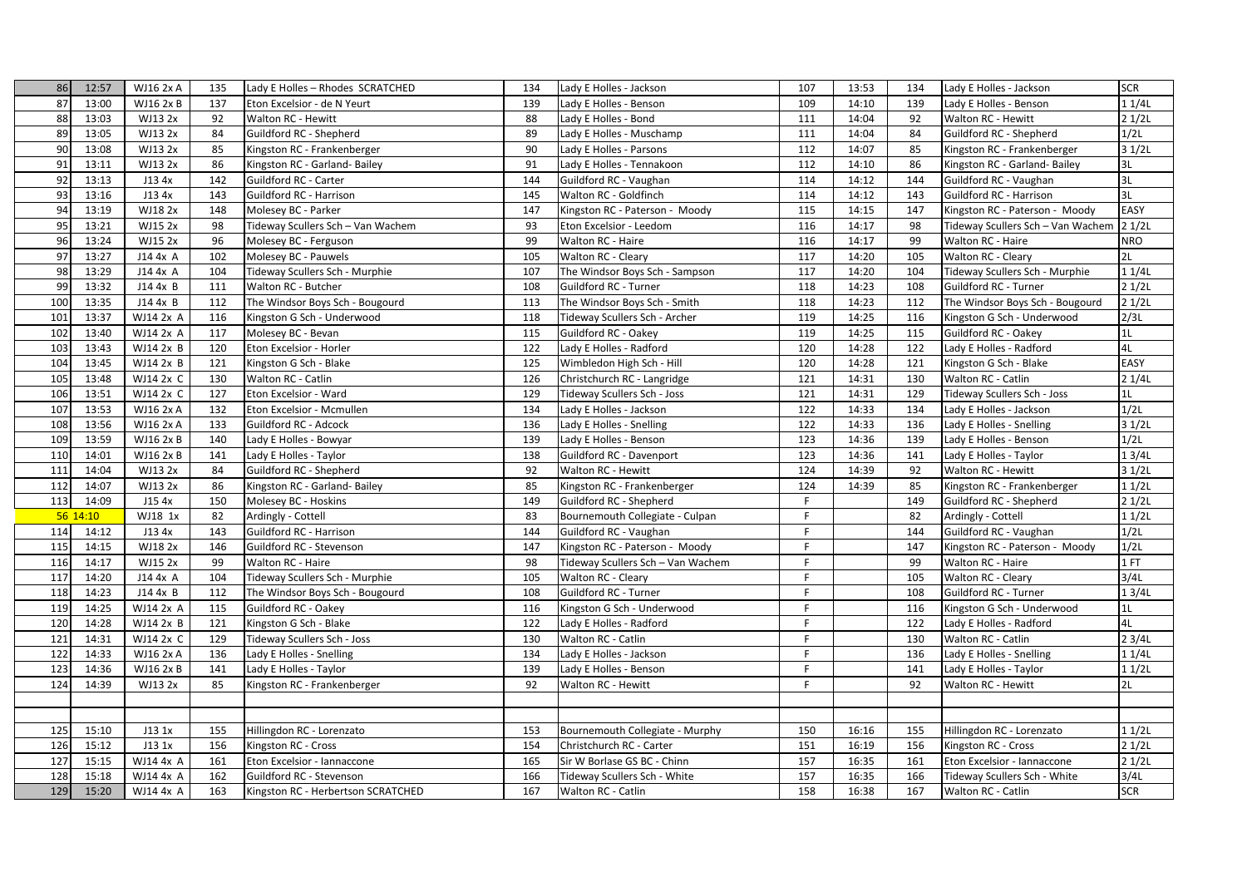| 86  | 12:57    | <b>WJ16 2x A</b> | 135 | Lady E Holles - Rhodes SCRATCHED   | 134 | Lady E Holles - Jackson                                     | 107 | 13:53 | 134 | Lady E Holles - Jackson                  | <b>SCR</b>  |
|-----|----------|------------------|-----|------------------------------------|-----|-------------------------------------------------------------|-----|-------|-----|------------------------------------------|-------------|
| 87  | 13:00    | WJ16 2x B        | 137 | Eton Excelsior - de N Yeurt        | 139 | Lady E Holles - Benson                                      | 109 | 14:10 | 139 | Lady E Holles - Benson                   | 11/4L       |
| 88  | 13:03    | WJ13 2x          | 92  | Walton RC - Hewitt                 | 88  | Lady E Holles - Bond                                        | 111 | 14:04 | 92  | Walton RC - Hewitt                       | 21/2L       |
| 89  | 13:05    | WJ13 2x          | 84  | Guildford RC - Shepherd            | 89  | Lady E Holles - Muschamp                                    | 111 | 14:04 | 84  | Guildford RC - Shepherd                  | 1/2L        |
| 90  | 13:08    | WJ13 2x          | 85  | Kingston RC - Frankenberger        | 90  | Lady E Holles - Parsons                                     | 112 | 14:07 | 85  | Kingston RC - Frankenberger              | 31/2L       |
| 91  | 13:11    | WJ13 2x          | 86  | Kingston RC - Garland- Bailey      | 91  | Lady E Holles - Tennakoon                                   | 112 | 14:10 | 86  | Kingston RC - Garland- Bailey            | 3L          |
| 92  | 13:13    | J13 4x           | 142 | Guildford RC - Carter              | 144 | Guildford RC - Vaughan                                      | 114 | 14:12 | 144 | Guildford RC - Vaughan                   | 3L          |
| 93  | 13:16    | J13 4x           | 143 | Guildford RC - Harrison            | 145 | Walton RC - Goldfinch                                       | 114 | 14:12 | 143 | Guildford RC - Harrison                  | 3L          |
| 94  | 13:19    | WJ18 2x          | 148 | Molesey BC - Parker                | 147 | Kingston RC - Paterson - Moody                              | 115 | 14:15 | 147 | Kingston RC - Paterson - Moody           | <b>EASY</b> |
| 95  | 13:21    | WJ15 2x          | 98  | Tideway Scullers Sch - Van Wachem  | 93  | Eton Excelsior - Leedom                                     | 116 | 14:17 | 98  | Tideway Scullers Sch - Van Wachem 2 1/2L |             |
| 96  | 13:24    | WJ15 2x          | 96  | Molesey BC - Ferguson              | 99  | Walton RC - Haire                                           | 116 | 14:17 | 99  | Walton RC - Haire                        | <b>NRO</b>  |
| 97  | 13:27    | J14 4x A         | 102 | Molesey BC - Pauwels               | 105 | Walton RC - Cleary                                          | 117 | 14:20 | 105 | Walton RC - Cleary                       | 2L          |
| 98  | 13:29    | J14 4x A         | 104 | Tideway Scullers Sch - Murphie     | 107 | The Windsor Boys Sch - Sampson                              | 117 | 14:20 | 104 | Tideway Scullers Sch - Murphie           | 11/4L       |
| 99  | 13:32    | J144xB           | 111 | Walton RC - Butcher                | 108 | Guildford RC - Turner                                       | 118 | 14:23 | 108 | Guildford RC - Turner                    | 21/2L       |
| 100 | 13:35    | J14 4x B         | 112 | The Windsor Boys Sch - Bougourd    | 113 | The Windsor Boys Sch - Smith                                | 118 | 14:23 | 112 | The Windsor Boys Sch - Bougourd          | 21/2L       |
| 101 | 13:37    | WJ14 2x A        | 116 | Kingston G Sch - Underwood         | 118 | Tideway Scullers Sch - Archer                               | 119 | 14:25 | 116 | Kingston G Sch - Underwood               | 2/3L        |
| 102 | 13:40    | WJ14 2x A        | 117 | Molesey BC - Bevan                 | 115 | Guildford RC - Oakey                                        | 119 | 14:25 | 115 | Guildford RC - Oakey                     | 1L          |
| 103 | 13:43    | WJ14 2x B        | 120 | Eton Excelsior - Horler            | 122 | Lady E Holles - Radford                                     | 120 | 14:28 | 122 | Lady E Holles - Radford                  | 4L          |
| 104 | 13:45    | WJ14 2x B        | 121 | Kingston G Sch - Blake             | 125 | Wimbledon High Sch - Hill                                   | 120 | 14:28 | 121 | Kingston G Sch - Blake                   | EASY        |
| 105 | 13:48    | WJ14 2x C        | 130 | Walton RC - Catlin                 | 126 | Christchurch RC - Langridge                                 | 121 | 14:31 | 130 | Walton RC - Catlin                       | 21/4L       |
| 106 | 13:51    | WJ14 2x C        | 127 | Eton Excelsior - Ward              | 129 | Tideway Scullers Sch - Joss                                 | 121 | 14:31 | 129 | Tideway Scullers Sch - Joss              | 1L          |
| 107 | 13:53    | WJ16 2x A        | 132 | Eton Excelsior - Mcmullen          | 134 | Lady E Holles - Jackson                                     | 122 | 14:33 | 134 | Lady E Holles - Jackson                  | 1/2L        |
| 108 | 13:56    | WJ16 2x A        | 133 | Guildford RC - Adcock              | 136 | Lady E Holles - Snelling                                    | 122 | 14:33 | 136 | Lady E Holles - Snelling                 | 31/2L       |
| 109 | 13:59    | <b>WJ16 2x B</b> | 140 | Lady E Holles - Bowyar             | 139 | Lady E Holles - Benson                                      | 123 | 14:36 | 139 | Lady E Holles - Benson                   | 1/2L        |
| 110 | 14:01    | WJ16 2x B        | 141 | Lady E Holles - Taylor             | 138 | Guildford RC - Davenport                                    | 123 | 14:36 | 141 | Lady E Holles - Taylor                   | 13/4L       |
| 111 | 14:04    | WJ13 2x          | 84  | Guildford RC - Shepherd            | 92  | Walton RC - Hewitt                                          | 124 | 14:39 | 92  | Walton RC - Hewitt                       | 31/2L       |
| 112 | 14:07    | WJ13 2x          | 86  | Kingston RC - Garland- Bailey      | 85  | Kingston RC - Frankenberger                                 | 124 | 14:39 | 85  | Kingston RC - Frankenberger              | 11/2L       |
| 113 | 14:09    | J15 4x           | 150 | Molesey BC - Hoskins               | 149 | Guildford RC - Shepherd                                     | F.  |       | 149 | Guildford RC - Shepherd                  | 21/2L       |
|     | 56 14:10 | WJ18 1x          | 82  | Ardingly - Cottell                 | 83  | Bournemouth Collegiate - Culpan                             | F.  |       | 82  | Ardingly - Cottell                       | 11/2L       |
| 114 | 14:12    | J13 4x           | 143 | Guildford RC - Harrison            | 144 | Guildford RC - Vaughan                                      | F   |       | 144 | Guildford RC - Vaughan                   | 1/2L        |
| 115 | 14:15    | WJ18 2x          | 146 | Guildford RC - Stevenson           | 147 | Kingston RC - Paterson - Moody                              | F.  |       | 147 | Kingston RC - Paterson - Moody           | 1/2L        |
| 116 | 14:17    | WJ15 2x          | 99  | Walton RC - Haire                  | 98  | Tideway Scullers Sch - Van Wachem                           | F.  |       | 99  | Walton RC - Haire                        | 1 FT        |
| 117 | 14:20    | J14 4x A         | 104 | Tideway Scullers Sch - Murphie     | 105 | Walton RC - Cleary                                          | F.  |       | 105 | Walton RC - Cleary                       | 3/4L        |
| 118 | 14:23    | J14 4x B         | 112 | The Windsor Boys Sch - Bougourd    | 108 | Guildford RC - Turner                                       | F   |       | 108 | Guildford RC - Turner                    | 13/4L       |
| 119 | 14:25    | WJ14 2x A        | 115 | Guildford RC - Oakey               | 116 | Kingston G Sch - Underwood                                  | F   |       | 116 | Kingston G Sch - Underwood               | 1L          |
| 120 | 14:28    | WJ14 2x B        | 121 | Kingston G Sch - Blake             | 122 | Lady E Holles - Radford                                     | F.  |       | 122 | Lady E Holles - Radford                  | 4L          |
| 121 | 14:31    | WJ14 2x C        | 129 | Tideway Scullers Sch - Joss        | 130 | Walton RC - Catlin                                          | F   |       | 130 | Walton RC - Catlin                       | 23/4L       |
| 122 | 14:33    | WJ16 2x A        | 136 | Lady E Holles - Snelling           | 134 | Lady E Holles - Jackson                                     | F.  |       | 136 | Lady E Holles - Snelling                 | 11/4L       |
| 123 | 14:36    | WJ16 2x B        | 141 | Lady E Holles - Taylor             | 139 | Lady E Holles - Benson                                      | F.  |       | 141 | Lady E Holles - Taylor                   | 11/2L       |
| 124 | 14:39    | WJ13 2x          | 85  | Kingston RC - Frankenberger        | 92  | Walton RC - Hewitt                                          | F.  |       | 92  | Walton RC - Hewitt                       | 2L          |
|     |          |                  |     |                                    |     |                                                             |     |       |     |                                          |             |
| 125 | 15:10    | J13 1x           | 155 | Hillingdon RC - Lorenzato          | 153 |                                                             | 150 | 16:16 | 155 | Hillingdon RC - Lorenzato                | 11/2L       |
| 126 | 15:12    | J13 1x           | 156 | Kingston RC - Cross                | 154 | Bournemouth Collegiate - Murphy<br>Christchurch RC - Carter | 151 | 16:19 | 156 | Kingston RC - Cross                      | 21/2L       |
| 127 | 15:15    | WJ14 4x A        | 161 | Eton Excelsior - Iannaccone        | 165 | Sir W Borlase GS BC - Chinn                                 | 157 | 16:35 | 161 | Eton Excelsior - Iannaccone              | 21/2L       |
| 128 | 15:18    | WJ14 4x A        | 162 | Guildford RC - Stevenson           | 166 | Tideway Scullers Sch - White                                | 157 | 16:35 | 166 | Tideway Scullers Sch - White             | 3/4L        |
| 129 | 15:20    | WJ14 4x A        |     |                                    | 167 |                                                             | 158 | 16:38 | 167 |                                          | <b>SCR</b>  |
|     |          |                  | 163 | Kingston RC - Herbertson SCRATCHED |     | Walton RC - Catlin                                          |     |       |     | Walton RC - Catlin                       |             |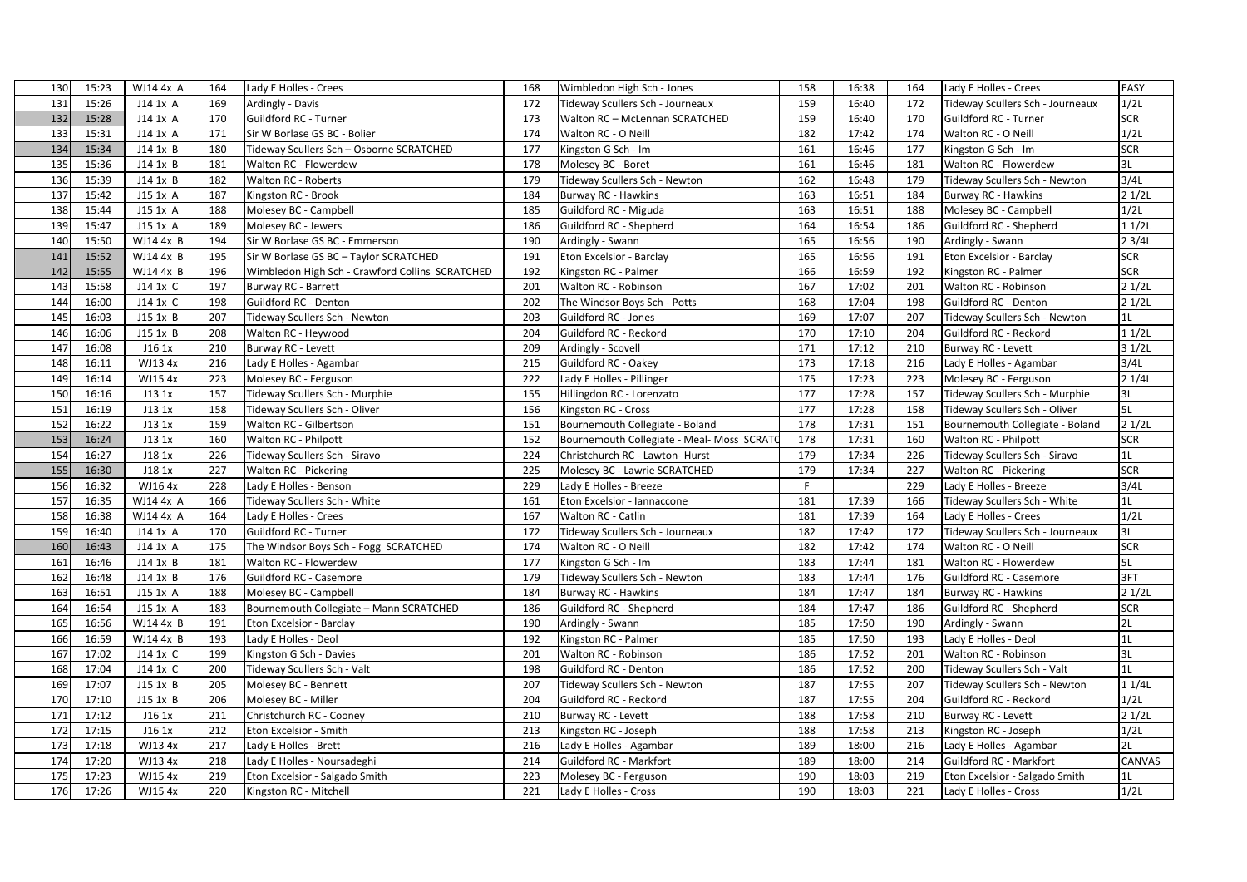| 130 | 15:23 | WJ14 4x A    | 164 | Lady E Holles - Crees                           | 168 | Wimbledon High Sch - Jones                 | 158 | 16:38 | 164 | Lady E Holles - Crees            | EASY       |
|-----|-------|--------------|-----|-------------------------------------------------|-----|--------------------------------------------|-----|-------|-----|----------------------------------|------------|
| 131 | 15:26 | J14 1x A     | 169 | Ardingly - Davis                                | 172 | Tideway Scullers Sch - Journeaux           | 159 | 16:40 | 172 | Tideway Scullers Sch - Journeaux | 1/2L       |
| 132 | 15:28 | J14 1x A     | 170 | Guildford RC - Turner                           | 173 | Walton RC - McLennan SCRATCHED             | 159 | 16:40 | 170 | Guildford RC - Turner            | SCR        |
| 133 | 15:31 | J14 1x A     | 171 | Sir W Borlase GS BC - Bolier                    | 174 | Walton RC - O Neill                        | 182 | 17:42 | 174 | Walton RC - O Neill              | 1/2L       |
| 134 | 15:34 | J14 1x B     | 180 | Tideway Scullers Sch - Osborne SCRATCHED        | 177 | Kingston G Sch - Im                        | 161 | 16:46 | 177 | Kingston G Sch - Im              | <b>SCR</b> |
| 135 | 15:36 | $J14$ 1x $B$ | 181 | Walton RC - Flowerdew                           | 178 | Molesey BC - Boret                         | 161 | 16:46 | 181 | Walton RC - Flowerdew            | 3L         |
| 136 | 15:39 | J14 1x B     | 182 | Walton RC - Roberts                             | 179 | Tideway Scullers Sch - Newton              | 162 | 16:48 | 179 | Tideway Scullers Sch - Newton    | 3/4L       |
| 137 | 15:42 | J15 1x A     | 187 | Kingston RC - Brook                             | 184 | Burway RC - Hawkins                        | 163 | 16:51 | 184 | Burway RC - Hawkins              | 21/2L      |
| 138 | 15:44 | J15 1x A     | 188 | Molesey BC - Campbell                           | 185 | Guildford RC - Miguda                      | 163 | 16:51 | 188 | Molesey BC - Campbell            | 1/2L       |
| 139 | 15:47 | $J15$ 1x A   | 189 | Molesey BC - Jewers                             | 186 | Guildford RC - Shepherd                    | 164 | 16:54 | 186 | Guildford RC - Shepherd          | 11/2L      |
| 140 | 15:50 | WJ14 4x B    | 194 | Sir W Borlase GS BC - Emmerson                  | 190 | Ardingly - Swann                           | 165 | 16:56 | 190 | Ardingly - Swann                 | 23/4L      |
| 141 | 15:52 | WJ14 4x B    | 195 | Sir W Borlase GS BC - Taylor SCRATCHED          | 191 | Eton Excelsior - Barclay                   | 165 | 16:56 | 191 | Eton Excelsior - Barclay         | <b>SCR</b> |
| 142 | 15:55 | WJ14 4x B    | 196 | Wimbledon High Sch - Crawford Collins SCRATCHED | 192 | Kingston RC - Palmer                       | 166 | 16:59 | 192 | Kingston RC - Palmer             | SCR        |
| 143 | 15:58 | J14 1x C     | 197 | Burway RC - Barrett                             | 201 | Walton RC - Robinson                       | 167 | 17:02 | 201 | Walton RC - Robinson             | 21/2L      |
| 144 | 16:00 | J14 1x C     | 198 | Guildford RC - Denton                           | 202 | The Windsor Boys Sch - Potts               | 168 | 17:04 | 198 | Guildford RC - Denton            | 21/2L      |
| 145 | 16:03 | J15 1x B     | 207 | Tideway Scullers Sch - Newton                   | 203 | Guildford RC - Jones                       | 169 | 17:07 | 207 | Tideway Scullers Sch - Newton    | 1L         |
| 146 | 16:06 | J15 1x B     | 208 | Walton RC - Heywood                             | 204 | Guildford RC - Reckord                     | 170 | 17:10 | 204 | Guildford RC - Reckord           | 11/2L      |
| 147 | 16:08 | J16 1x       | 210 | Burway RC - Levett                              | 209 | Ardingly - Scovell                         | 171 | 17:12 | 210 | Burway RC - Levett               | 31/2L      |
| 148 | 16:11 | WJ13 4x      | 216 | Lady E Holles - Agambar                         | 215 | Guildford RC - Oakey                       | 173 | 17:18 | 216 | Lady E Holles - Agambar          | 3/4L       |
| 149 | 16:14 | WJ15 4x      | 223 | Molesey BC - Ferguson                           | 222 | Lady E Holles - Pillinger                  | 175 | 17:23 | 223 | Molesey BC - Ferguson            | 21/4L      |
| 150 | 16:16 | J13 1x       | 157 | Tideway Scullers Sch - Murphie                  | 155 | Hillingdon RC - Lorenzato                  | 177 | 17:28 | 157 | Tideway Scullers Sch - Murphie   | 3L         |
| 151 | 16:19 | J13 1x       | 158 | Tideway Scullers Sch - Oliver                   | 156 | Kingston RC - Cross                        | 177 | 17:28 | 158 | Tideway Scullers Sch - Oliver    | 5L         |
| 152 | 16:22 | J13 1x       | 159 | Walton RC - Gilbertson                          | 151 | Bournemouth Collegiate - Boland            | 178 | 17:31 | 151 | Bournemouth Collegiate - Boland  | 21/2L      |
| 153 | 16:24 | J13 1x       | 160 | Walton RC - Philpott                            | 152 | Bournemouth Collegiate - Meal- Moss SCRATO | 178 | 17:31 | 160 | Walton RC - Philpott             | <b>SCR</b> |
| 154 | 16:27 | J18 1x       | 226 | Tideway Scullers Sch - Siravo                   | 224 | Christchurch RC - Lawton- Hurst            | 179 | 17:34 | 226 | Tideway Scullers Sch - Siravo    | 1L         |
| 155 | 16:30 | J18 1x       | 227 | Walton RC - Pickering                           | 225 | Molesey BC - Lawrie SCRATCHED              | 179 | 17:34 | 227 | Walton RC - Pickering            | <b>SCR</b> |
| 156 | 16:32 | WJ164x       | 228 | Lady E Holles - Benson                          | 229 | Lady E Holles - Breeze                     | F   |       | 229 | Lady E Holles - Breeze           | 3/4L       |
| 157 | 16:35 | WJ14 4x A    | 166 | Tideway Scullers Sch - White                    | 161 | Eton Excelsior - Iannaccone                | 181 | 17:39 | 166 | Tideway Scullers Sch - White     | 1L         |
| 158 | 16:38 | WJ14 4x A    | 164 | Lady E Holles - Crees                           | 167 | Walton RC - Catlin                         | 181 | 17:39 | 164 | Lady E Holles - Crees            | 1/2L       |
| 159 | 16:40 | $J14$ 1x A   | 170 | Guildford RC - Turner                           | 172 | Tideway Scullers Sch - Journeaux           | 182 | 17:42 | 172 | Tideway Scullers Sch - Journeaux | 3L         |
| 160 | 16:43 | $J14$ 1x A   | 175 | The Windsor Boys Sch - Fogg SCRATCHED           | 174 | Walton RC - O Neill                        | 182 | 17:42 | 174 | Walton RC - O Neill              | <b>SCR</b> |
| 161 | 16:46 | $J14$ 1x $B$ | 181 | Walton RC - Flowerdew                           | 177 | Kingston G Sch - Im                        | 183 | 17:44 | 181 | Walton RC - Flowerdew            | 5L         |
| 162 | 16:48 | J14 1x B     | 176 | Guildford RC - Casemore                         | 179 | Tideway Scullers Sch - Newton              | 183 | 17:44 | 176 | Guildford RC - Casemore          | 3FT        |
| 163 | 16:51 | J15 1x A     | 188 | Molesey BC - Campbell                           | 184 | <b>Burway RC - Hawkins</b>                 | 184 | 17:47 | 184 | Burway RC - Hawkins              | 21/2L      |
| 164 | 16:54 | J15 1x A     | 183 | Bournemouth Collegiate - Mann SCRATCHED         | 186 | Guildford RC - Shepherd                    | 184 | 17:47 | 186 | Guildford RC - Shepherd          | <b>SCR</b> |
| 165 | 16:56 | WJ14 4x B    | 191 | Eton Excelsior - Barclay                        | 190 | Ardingly - Swann                           | 185 | 17:50 | 190 | Ardingly - Swann                 | 2L         |
| 166 | 16:59 | WJ14 4x B    | 193 | Lady E Holles - Deol                            | 192 | Kingston RC - Palmer                       | 185 | 17:50 | 193 | Lady E Holles - Deol             | 1L         |
| 167 | 17:02 | J14 1x C     | 199 | Kingston G Sch - Davies                         | 201 | Walton RC - Robinson                       | 186 | 17:52 | 201 | Walton RC - Robinson             | 3L         |
| 168 | 17:04 | J14 1x C     | 200 | Tideway Scullers Sch - Valt                     | 198 | Guildford RC - Denton                      | 186 | 17:52 | 200 | Tideway Scullers Sch - Valt      | 1L         |
| 169 | 17:07 | J15 1x B     | 205 | Molesey BC - Bennett                            | 207 | Tideway Scullers Sch - Newton              | 187 | 17:55 | 207 | Tideway Scullers Sch - Newton    | 11/4L      |
| 170 | 17:10 | J15 1x B     | 206 | Molesey BC - Miller                             | 204 | Guildford RC - Reckord                     | 187 | 17:55 | 204 | Guildford RC - Reckord           | 1/2L       |
| 171 | 17:12 | J16 1x       | 211 | Christchurch RC - Cooney                        | 210 | Burway RC - Levett                         | 188 | 17:58 | 210 | Burway RC - Levett               | 21/2L      |
| 172 | 17:15 | J16 1x       | 212 | Eton Excelsior - Smith                          | 213 | Kingston RC - Joseph                       | 188 | 17:58 | 213 | Kingston RC - Joseph             | 1/2L       |
| 173 | 17:18 | WJ13 4x      | 217 | Lady E Holles - Brett                           | 216 | Lady E Holles - Agambar                    | 189 | 18:00 | 216 | Lady E Holles - Agambar          | 2L         |
| 174 | 17:20 | WJ13 4x      | 218 | Lady E Holles - Noursadeghi                     | 214 | Guildford RC - Markfort                    | 189 | 18:00 | 214 | Guildford RC - Markfort          | CANVAS     |
| 175 | 17:23 | WJ15 4x      | 219 | Eton Excelsior - Salgado Smith                  | 223 | Molesey BC - Ferguson                      | 190 | 18:03 | 219 | Eton Excelsior - Salgado Smith   | 1L         |
| 176 | 17:26 | WJ15 4x      | 220 | Kingston RC - Mitchell                          | 221 | Lady E Holles - Cross                      | 190 | 18:03 | 221 | Lady E Holles - Cross            | 1/2L       |